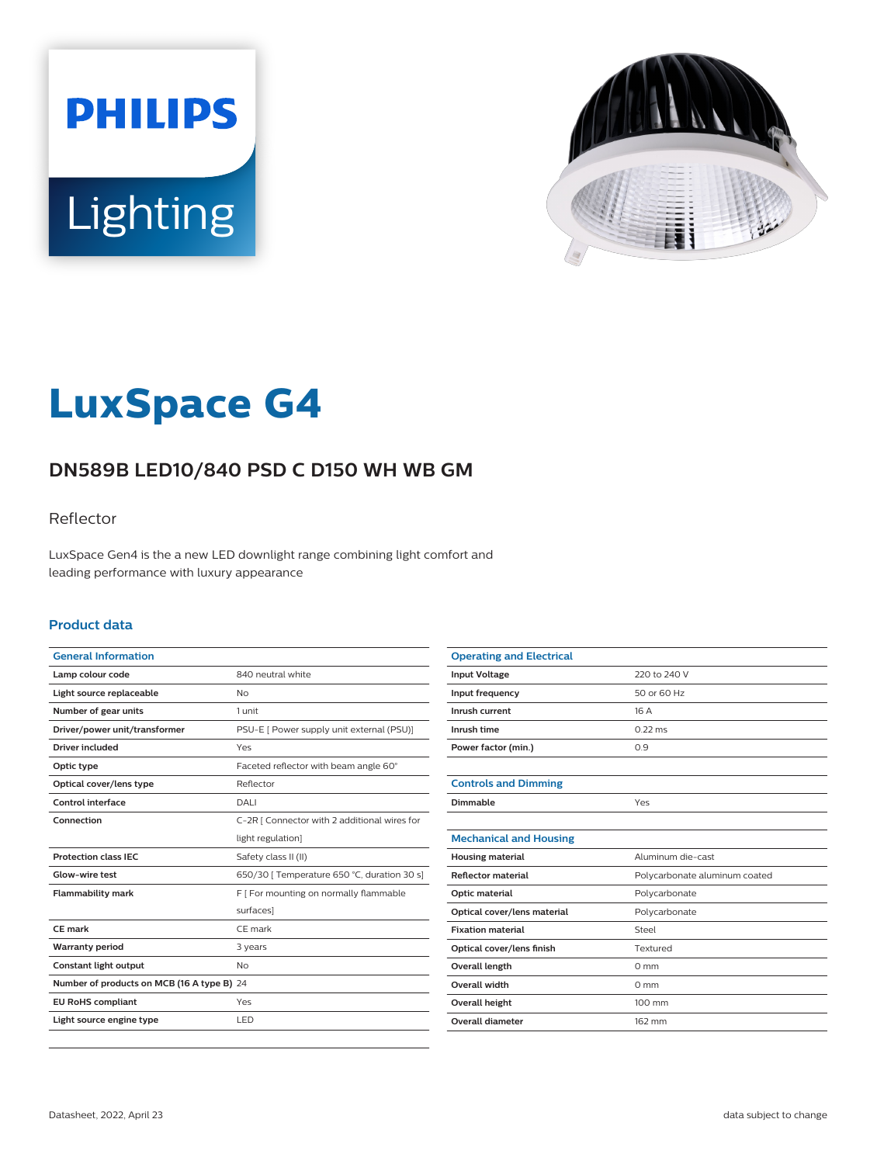



# **LuxSpace G4**

# **DN589B LED10/840 PSD C D150 WH WB GM**

### Reflector

LuxSpace Gen4 is the a new LED downlight range combining light comfort and leading performance with luxury appearance

#### **Product data**

| <b>General Information</b>                 |                                              |
|--------------------------------------------|----------------------------------------------|
| Lamp colour code                           | 840 neutral white                            |
| Light source replaceable                   | No                                           |
| Number of gear units                       | 1 unit                                       |
| Driver/power unit/transformer              | PSU-E [ Power supply unit external (PSU)]    |
| Driver included                            | Yes                                          |
| Optic type                                 | Faceted reflector with beam angle 60°        |
| Optical cover/lens type                    | Reflector                                    |
| Control interface                          | DALI                                         |
| Connection                                 | C-2R   Connector with 2 additional wires for |
|                                            | light regulation]                            |
| <b>Protection class IEC</b>                | Safety class II (II)                         |
| Glow-wire test                             | 650/30   Temperature 650 °C, duration 30 s]  |
| <b>Flammability mark</b>                   | F [ For mounting on normally flammable       |
|                                            | surfaces]                                    |
| CE mark                                    | CE mark                                      |
| <b>Warranty period</b>                     | 3 years                                      |
| Constant light output                      | No                                           |
| Number of products on MCB (16 A type B) 24 |                                              |
| <b>EU RoHS compliant</b>                   | Yes                                          |
| Light source engine type                   | LED                                          |
|                                            |                                              |

| <b>Operating and Electrical</b> |                               |
|---------------------------------|-------------------------------|
| <b>Input Voltage</b>            | 220 to 240 V                  |
| Input frequency                 | 50 or 60 Hz                   |
| Inrush current                  | 16 A                          |
| Inrush time                     | $0.22$ ms                     |
| Power factor (min.)             | 0.9                           |
|                                 |                               |
| <b>Controls and Dimming</b>     |                               |
| Dimmable                        | Yes                           |
|                                 |                               |
| <b>Mechanical and Housing</b>   |                               |
| <b>Housing material</b>         | Aluminum die-cast             |
| <b>Reflector material</b>       | Polycarbonate aluminum coated |
| Optic material                  | Polycarbonate                 |
| Optical cover/lens material     | Polycarbonate                 |
| <b>Fixation material</b>        | Steel                         |
| Optical cover/lens finish       | Textured                      |
| <b>Overall length</b>           | $0 \text{ mm}$                |
| <b>Overall width</b>            | $0 \text{ mm}$                |
| Overall height                  | 100 mm                        |
| <b>Overall diameter</b>         | 162 mm                        |
|                                 |                               |